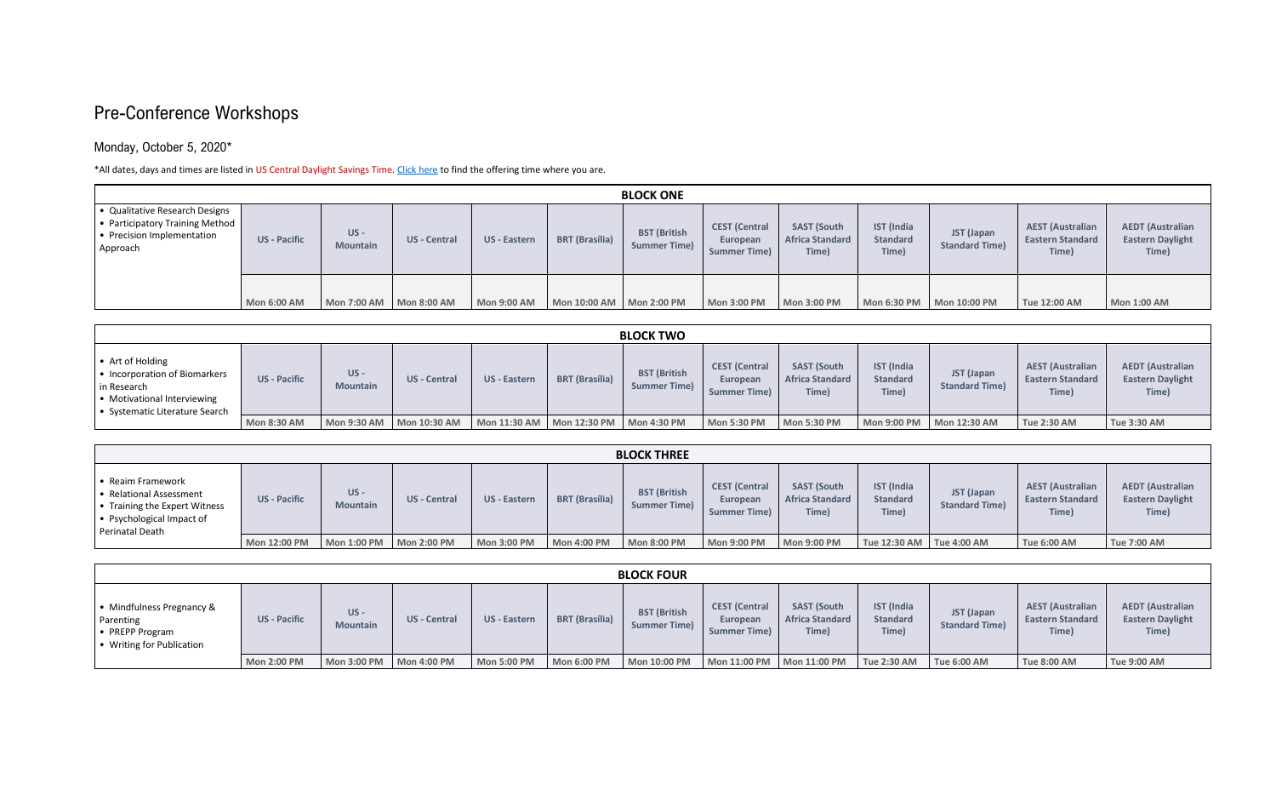#### Pre-Conference Workshops

#### Monday, October 5, 2020\*

\*All dates, days and times are listed in US Central Daylight Savings Time[. Click here](https://marce2020.com/sites/marce2020.com/files/time_table.pdf) to find the offering time where you are.

| <b>BLOCK ONE</b>                                                                                                      |                     |                           |                     |                     |                            |                                            |                                                         |                                                       |                                               |                                     |                                                             |                                                             |
|-----------------------------------------------------------------------------------------------------------------------|---------------------|---------------------------|---------------------|---------------------|----------------------------|--------------------------------------------|---------------------------------------------------------|-------------------------------------------------------|-----------------------------------------------|-------------------------------------|-------------------------------------------------------------|-------------------------------------------------------------|
| • Qualitative Research Designs<br>  • Participatory Training Method  <br>$\cdot$ Precision Implementation<br>Approach | <b>US</b> - Pacific | $US -$<br><b>Mountain</b> | <b>US</b> - Central | <b>US</b> - Eastern | <b>BRT</b> (Brasília)      | <b>BST (British</b><br><b>Summer Time)</b> | <b>CEST</b> (Central<br>European<br><b>Summer Time)</b> | <b>SAST (South</b><br><b>Africa Standard</b><br>Time) | <b>IST</b> (India<br><b>Standard</b><br>Time) | JST (Japan<br><b>Standard Time)</b> | <b>AEST (Australian</b><br><b>Eastern Standard</b><br>Time) | <b>AEDT</b> (Australian<br><b>Eastern Daylight</b><br>Time) |
|                                                                                                                       | <b>Mon 6:00 AM</b>  |                           |                     | <b>Mon 9:00 AM</b>  | Mon 10:00 AM   Mon 2:00 PM |                                            | <b>Mon 3:00 PM</b>                                      | <b>Mon 3:00 PM</b>                                    | <b>Mon 6:30 PM</b>                            | Mon 10:00 PM                        | Tue 12:00 AM                                                | <b>Mon 1:00 AM</b>                                          |

| <b>BLOCK TWO</b>                                                                                                                          |                     |                           |                     |                                           |                       |                                            |                                                         |                                                       |                                               |                                     |                                                             |                                                             |
|-------------------------------------------------------------------------------------------------------------------------------------------|---------------------|---------------------------|---------------------|-------------------------------------------|-----------------------|--------------------------------------------|---------------------------------------------------------|-------------------------------------------------------|-----------------------------------------------|-------------------------------------|-------------------------------------------------------------|-------------------------------------------------------------|
| $\bullet$ Art of Holding<br>• Incorporation of Biomarkers<br>in Research<br>  • Motivational Interviewing<br>Systematic Literature Search | <b>US</b> - Pacific | $US -$<br><b>Mountain</b> | US - Central        | <b>US</b> - Eastern                       | <b>BRT (Brasília)</b> | <b>BST (British</b><br><b>Summer Time)</b> | <b>CEST (Central</b><br>European<br><b>Summer Time)</b> | <b>SAST (South</b><br><b>Africa Standard</b><br>Time) | <b>IST</b> (India<br><b>Standard</b><br>Time) | JST (Japan<br><b>Standard Time)</b> | <b>AEST (Australian</b><br><b>Eastern Standard</b><br>Time) | <b>AEDT (Australian</b><br><b>Eastern Daylight</b><br>Time) |
|                                                                                                                                           | <b>Mon 8:30 AM</b>  | <b>Mon 9:30 AM</b>        | <b>Mon 10:30 AM</b> | Mon 11:30 AM   Mon 12:30 PM   Mon 4:30 PM |                       |                                            | <b>Mon 5:30 PM</b>                                      | <b>Mon 5:30 PM</b>                                    | <b>Mon 9:00 PM</b>                            | Mon 12:30 AM                        | <b>Tue 2:30 AM</b>                                          | <b>Tue 3:30 AM</b>                                          |

| <b>BLOCK THREE</b>                                                                                                                    |                     |                           |                     |                    |                       |                                            |                                                         |                                                       |                                               |                                     |                                                             |                                                             |
|---------------------------------------------------------------------------------------------------------------------------------------|---------------------|---------------------------|---------------------|--------------------|-----------------------|--------------------------------------------|---------------------------------------------------------|-------------------------------------------------------|-----------------------------------------------|-------------------------------------|-------------------------------------------------------------|-------------------------------------------------------------|
| • Reaim Framework<br>I • Relational Assessment<br>Training the Expert Witness<br>$\bullet$ Psychological Impact of<br>Perinatal Death | <b>US</b> - Pacific | $US -$<br><b>Mountain</b> | <b>US</b> - Central | US - Eastern       | <b>BRT</b> (Brasília) | <b>BST (British</b><br><b>Summer Time)</b> | <b>CEST (Central</b><br>European<br><b>Summer Time)</b> | <b>SAST (South</b><br><b>Africa Standard</b><br>Time) | <b>IST</b> (India<br><b>Standard</b><br>Time) | JST (Japan<br><b>Standard Time)</b> | <b>AEST (Australian</b><br><b>Eastern Standard</b><br>Time) | <b>AEDT</b> (Australian<br><b>Eastern Daylight</b><br>Time) |
|                                                                                                                                       | Mon 12:00 PM        | <b>Mon 1:00 PM</b>        | Mon 2:00 PM         | <b>Mon 3:00 PM</b> | <b>Mon 4:00 PM</b>    | <b>Mon 8:00 PM</b>                         | <b>Mon 9:00 PM</b>                                      | <b>Mon 9:00 PM</b>                                    | Tue 12:30 AM   Tue 4:00 AM                    |                                     | <b>Tue 6:00 AM</b>                                          | <b>Tue 7:00 AM</b>                                          |

| <b>BLOCK FOUR</b>                                                                                            |                     |                           |                     |                     |                       |                                            |                                                         |                                                       |                                               |                                     |                                                             |                                                             |
|--------------------------------------------------------------------------------------------------------------|---------------------|---------------------------|---------------------|---------------------|-----------------------|--------------------------------------------|---------------------------------------------------------|-------------------------------------------------------|-----------------------------------------------|-------------------------------------|-------------------------------------------------------------|-------------------------------------------------------------|
| ∣ • Mindfulness Pregnancy &<br>Parenting<br>$\blacktriangleright$ PREPP Program<br>• Writing for Publication | <b>US - Pacific</b> | $US -$<br><b>Mountain</b> | <b>US</b> - Central | <b>US - Eastern</b> | <b>BRT (Brasília)</b> | <b>BST (British</b><br><b>Summer Time)</b> | <b>CEST (Central</b><br>European<br><b>Summer Time)</b> | <b>SAST (South</b><br><b>Africa Standard</b><br>Time) | <b>IST</b> (India<br><b>Standard</b><br>Time) | JST (Japan<br><b>Standard Time)</b> | <b>AEST (Australian</b><br><b>Eastern Standard</b><br>Time) | <b>AEDT</b> (Australian<br><b>Eastern Daylight</b><br>Time) |
|                                                                                                              | <b>Mon 2:00 PM</b>  |                           |                     | <b>Mon 5:00 PM</b>  | <b>Mon 6:00 PM</b>    | <b>Mon 10:00 PM</b>                        |                                                         |                                                       | <b>Tue 2:30 AM</b>                            | <b>Tue 6:00 AM</b>                  | <b>Tue 8:00 AM</b>                                          | <b>Tue 9:00 AM</b>                                          |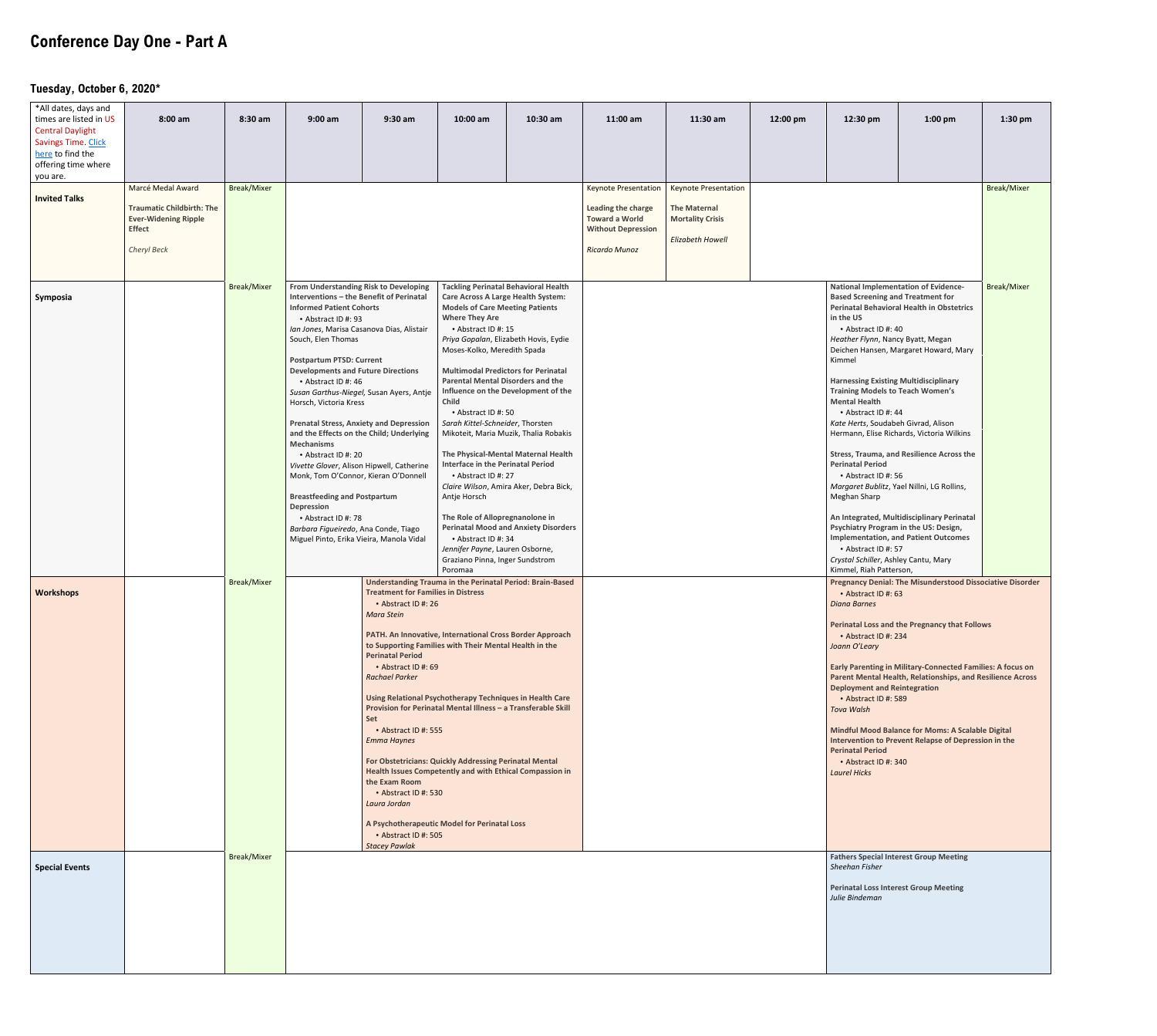# **Conference Day One - Part A**

#### Tuesday, October 6, 2020\*

| *All dates, days and<br>times are listed in US<br><b>Central Daylight</b><br>Savings Time. Click<br>here to find the<br>offering time where<br>you are. | $8:00$ am                                                                                                            | 8:30 am                                  | $9:00$ am                                                                                                                                                                                                                                                                                                                                                                                                                                                                                                                                                                                                                                                                                                                                             | $9:30$ am                                                                                                                                                                                                                                                                                                                                                                                         | 10:00 am                                                                                                                                                                                                                                                                                                                                                                                                                                                            | $10:30$ am                                                                                                                                                                                                                                                                                                                                                                                                                                                          | $11:00$ am                                                                                                                      | $11:30$ am                                                                                               | 12:00 pm | 12:30 pm                                                                                                                                                                                                                                                                                                                                                                                                                                                                                                                                                                                                                       | $1:00$ pm                                                                                                                                                                                                                                                                                                                                                                                                                                                                                                                                                                                                                                                                                    | $1:30$ pm          |
|---------------------------------------------------------------------------------------------------------------------------------------------------------|----------------------------------------------------------------------------------------------------------------------|------------------------------------------|-------------------------------------------------------------------------------------------------------------------------------------------------------------------------------------------------------------------------------------------------------------------------------------------------------------------------------------------------------------------------------------------------------------------------------------------------------------------------------------------------------------------------------------------------------------------------------------------------------------------------------------------------------------------------------------------------------------------------------------------------------|---------------------------------------------------------------------------------------------------------------------------------------------------------------------------------------------------------------------------------------------------------------------------------------------------------------------------------------------------------------------------------------------------|---------------------------------------------------------------------------------------------------------------------------------------------------------------------------------------------------------------------------------------------------------------------------------------------------------------------------------------------------------------------------------------------------------------------------------------------------------------------|---------------------------------------------------------------------------------------------------------------------------------------------------------------------------------------------------------------------------------------------------------------------------------------------------------------------------------------------------------------------------------------------------------------------------------------------------------------------|---------------------------------------------------------------------------------------------------------------------------------|----------------------------------------------------------------------------------------------------------|----------|--------------------------------------------------------------------------------------------------------------------------------------------------------------------------------------------------------------------------------------------------------------------------------------------------------------------------------------------------------------------------------------------------------------------------------------------------------------------------------------------------------------------------------------------------------------------------------------------------------------------------------|----------------------------------------------------------------------------------------------------------------------------------------------------------------------------------------------------------------------------------------------------------------------------------------------------------------------------------------------------------------------------------------------------------------------------------------------------------------------------------------------------------------------------------------------------------------------------------------------------------------------------------------------------------------------------------------------|--------------------|
| <b>Invited Talks</b>                                                                                                                                    | Marcé Medal Award<br><b>Traumatic Childbirth: The</b><br><b>Ever-Widening Ripple</b><br><b>Effect</b><br>Cheryl Beck | <b>Break/Mixer</b>                       |                                                                                                                                                                                                                                                                                                                                                                                                                                                                                                                                                                                                                                                                                                                                                       |                                                                                                                                                                                                                                                                                                                                                                                                   |                                                                                                                                                                                                                                                                                                                                                                                                                                                                     |                                                                                                                                                                                                                                                                                                                                                                                                                                                                     | <b>Keynote Presentation</b><br>Leading the charge<br><b>Toward a World</b><br><b>Without Depression</b><br><b>Ricardo Munoz</b> | <b>Keynote Presentation</b><br><b>The Maternal</b><br><b>Mortality Crisis</b><br><b>Elizabeth Howell</b> |          |                                                                                                                                                                                                                                                                                                                                                                                                                                                                                                                                                                                                                                |                                                                                                                                                                                                                                                                                                                                                                                                                                                                                                                                                                                                                                                                                              | <b>Break/Mixer</b> |
| Symposia<br><b>Workshops</b>                                                                                                                            |                                                                                                                      | <b>Break/Mixer</b><br><b>Break/Mixer</b> | From Understanding Risk to Developing<br>Interventions - the Benefit of Perinatal<br><b>Informed Patient Cohorts</b><br>• Abstract ID #: 93<br>Ian Jones, Marisa Casanova Dias, Alistair<br>Souch, Elen Thomas<br><b>Postpartum PTSD: Current</b><br><b>Developments and Future Directions</b><br>• Abstract ID #: 46<br>Horsch, Victoria Kress<br><b>Prenatal Stress, Anxiety and Depression</b><br>and the Effects on the Child; Underlying<br><b>Mechanisms</b><br>• Abstract ID #: 20<br>Vivette Glover, Alison Hipwell, Catherine<br>Monk, Tom O'Connor, Kieran O'Donnell<br><b>Breastfeeding and Postpartum</b><br><b>Depression</b><br>• Abstract ID #: 78<br>Barbara Figueiredo, Ana Conde, Tiago<br>Miguel Pinto, Erika Vieira, Manola Vidal | Susan Garthus-Niegel, Susan Ayers, Antje<br><b>Treatment for Families in Distress</b><br>• Abstract ID #: 26<br><b>Mara Stein</b><br>PATH. An Innovative, International Cross Border Approach<br>to Supporting Families with Their Mental Health in the<br><b>Perinatal Period</b><br>• Abstract ID #: 69<br><b>Rachael Parker</b><br>Using Relational Psychotherapy Techniques in Health Care    | <b>Models of Care Meeting Patients</b><br><b>Where They Are</b><br>• Abstract ID #: 15<br>Moses-Kolko, Meredith Spada<br><b>Parental Mental Disorders and the</b><br>Child<br>• Abstract ID #: 50<br>Sarah Kittel-Schneider, Thorsten<br><b>Interface in the Perinatal Period</b><br>• Abstract ID #: 27<br>Antje Horsch<br>The Role of Allopregnanolone in<br>• Abstract ID #: 34<br>Jennifer Payne, Lauren Osborne,<br>Graziano Pinna, Inger Sundstrom<br>Poromaa | <b>Tackling Perinatal Behavioral Health</b><br><b>Care Across A Large Health System:</b><br>Priya Gopalan, Elizabeth Hovis, Eydie<br><b>Multimodal Predictors for Perinatal</b><br>Influence on the Development of the<br>Mikoteit, Maria Muzik, Thalia Robakis<br>The Physical-Mental Maternal Health<br>Claire Wilson, Amira Aker, Debra Bick,<br><b>Perinatal Mood and Anxiety Disorders</b><br><b>Understanding Trauma in the Perinatal Period: Brain-Based</b> |                                                                                                                                 |                                                                                                          |          | <b>Based Screening and Treatment for</b><br>in the US<br>• Abstract ID #: 40<br>Heather Flynn, Nancy Byatt, Megan<br>Kimmel<br><b>Harnessing Existing Multidisciplinary</b><br><b>Training Models to Teach Women's</b><br><b>Mental Health</b><br>• Abstract ID #: 44<br>Kate Herts, Soudabeh Givrad, Alison<br><b>Perinatal Period</b><br>• Abstract ID #: 56<br>Meghan Sharp<br>• Abstract ID #: 57<br>Crystal Schiller, Ashley Cantu, Mary<br>Kimmel, Riah Patterson,<br>• Abstract ID #: 63<br><b>Diana Barnes</b><br>• Abstract ID #: 234<br>Joann O'Leary<br><b>Deployment and Reintegration</b><br>• Abstract ID #: 589 | <b>National Implementation of Evidence-</b><br><b>Perinatal Behavioral Health in Obstetrics</b><br>Deichen Hansen, Margaret Howard, Mary<br>Hermann, Elise Richards, Victoria Wilkins<br><b>Stress, Trauma, and Resilience Across the</b><br>Margaret Bublitz, Yael Nillni, LG Rollins,<br>An Integrated, Multidisciplinary Perinatal<br>Psychiatry Program in the US: Design,<br><b>Implementation, and Patient Outcomes</b><br><b>Pregnancy Denial: The Misunderstood Dissociative Disorder</b><br><b>Perinatal Loss and the Pregnancy that Follows</b><br><b>Early Parenting in Military-Connected Families: A focus on</b><br>Parent Mental Health, Relationships, and Resilience Across | <b>Break/Mixer</b> |
| <b>Special Events</b>                                                                                                                                   |                                                                                                                      | <b>Break/Mixer</b>                       |                                                                                                                                                                                                                                                                                                                                                                                                                                                                                                                                                                                                                                                                                                                                                       | Provision for Perinatal Mental Illness - a Transferable Skill<br>Set<br>• Abstract ID #: 555<br><b>Emma Haynes</b><br>For Obstetricians: Quickly Addressing Perinatal Mental<br>Health Issues Competently and with Ethical Compassion in<br>the Exam Room<br>• Abstract ID #: 530<br>Laura Jordan<br>A Psychotherapeutic Model for Perinatal Loss<br>• Abstract ID #: 505<br><b>Stacey Pawlak</b> |                                                                                                                                                                                                                                                                                                                                                                                                                                                                     |                                                                                                                                                                                                                                                                                                                                                                                                                                                                     |                                                                                                                                 |                                                                                                          |          | <b>Tova Walsh</b><br><b>Perinatal Period</b><br>• Abstract ID #: 340<br><b>Laurel Hicks</b><br>Sheehan Fisher<br>Julie Bindeman                                                                                                                                                                                                                                                                                                                                                                                                                                                                                                | <b>Mindful Mood Balance for Moms: A Scalable Digital</b><br><b>Intervention to Prevent Relapse of Depression in the</b><br><b>Fathers Special Interest Group Meeting</b><br><b>Perinatal Loss Interest Group Meeting</b>                                                                                                                                                                                                                                                                                                                                                                                                                                                                     |                    |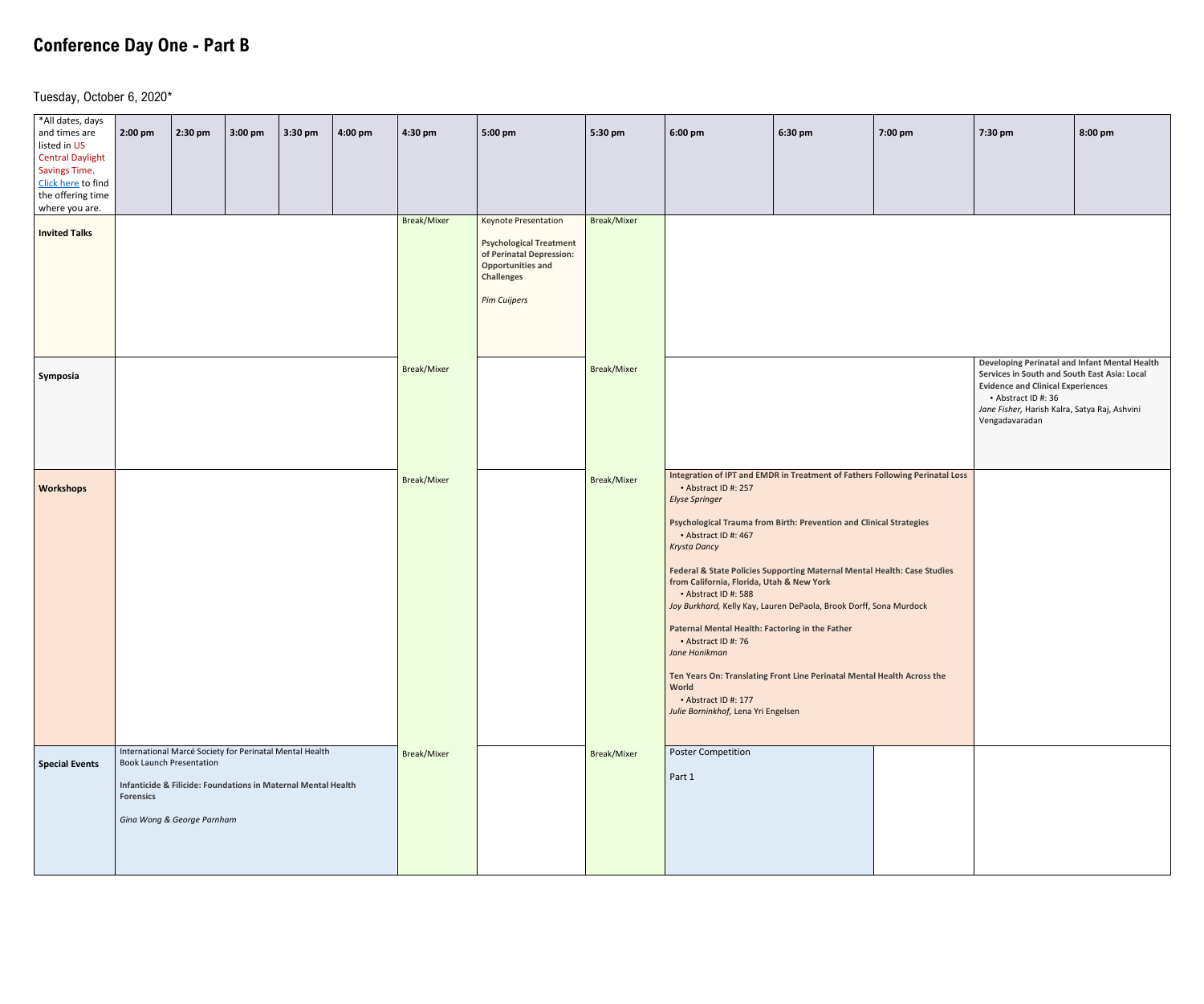# **Conference Day One - Part B**

Tuesday, October 6, 2020\*

| *All dates, days<br>and times are<br>listed in US<br><b>Central Daylight</b><br><b>Savings Time</b><br>Click here to find<br>the offering time<br>where you are. | 2:00 pm          | 2:30 pm                                                       | 3:00 pm                                                                                                                  | 3:30 pm | 4:00 pm | 4:30 pm            | 5:00 pm                                                                                                                                                           | 5:30 pm            | 6:00 pm                                                                                                                                                                                                                                                                                                                                                                                                                                                                                                                                                                                                                                                                                                                  | 6:30 pm | 7:00 pm | 7:30 pm                                                                                                                                                                                                                             | 8:00 pm |
|------------------------------------------------------------------------------------------------------------------------------------------------------------------|------------------|---------------------------------------------------------------|--------------------------------------------------------------------------------------------------------------------------|---------|---------|--------------------|-------------------------------------------------------------------------------------------------------------------------------------------------------------------|--------------------|--------------------------------------------------------------------------------------------------------------------------------------------------------------------------------------------------------------------------------------------------------------------------------------------------------------------------------------------------------------------------------------------------------------------------------------------------------------------------------------------------------------------------------------------------------------------------------------------------------------------------------------------------------------------------------------------------------------------------|---------|---------|-------------------------------------------------------------------------------------------------------------------------------------------------------------------------------------------------------------------------------------|---------|
| <b>Invited Talks</b>                                                                                                                                             |                  |                                                               |                                                                                                                          |         |         | Break/Mixer        | <b>Keynote Presentation</b><br><b>Psychological Treatment</b><br>of Perinatal Depression:<br><b>Opportunities and</b><br><b>Challenges</b><br><b>Pim Cuijpers</b> | Break/Mixer        |                                                                                                                                                                                                                                                                                                                                                                                                                                                                                                                                                                                                                                                                                                                          |         |         |                                                                                                                                                                                                                                     |         |
| Symposia                                                                                                                                                         |                  |                                                               |                                                                                                                          |         |         | <b>Break/Mixer</b> |                                                                                                                                                                   | <b>Break/Mixer</b> |                                                                                                                                                                                                                                                                                                                                                                                                                                                                                                                                                                                                                                                                                                                          |         |         | Developing Perinatal and Infant Mental Health<br>Services in South and South East Asia: Local<br><b>Evidence and Clinical Experiences</b><br>• Abstract ID #: 36<br>Jane Fisher, Harish Kalra, Satya Raj, Ashvini<br>Vengadavaradan |         |
| <b>Workshops</b>                                                                                                                                                 |                  |                                                               |                                                                                                                          |         |         | <b>Break/Mixer</b> |                                                                                                                                                                   | Break/Mixer        | Integration of IPT and EMDR in Treatment of Fathers Following Perinatal Loss<br>• Abstract ID #: 257<br><b>Elyse Springer</b><br><b>Psychological Trauma from Birth: Prevention and Clinical Strategies</b><br>• Abstract ID #: 467<br>Krysta Dancy<br>Federal & State Policies Supporting Maternal Mental Health: Case Studies<br>from California, Florida, Utah & New York<br>• Abstract ID #: 588<br>Joy Burkhard, Kelly Kay, Lauren DePaola, Brook Dorff, Sona Murdock<br>Paternal Mental Health: Factoring in the Father<br>• Abstract ID #: 76<br>Jane Honikman<br>Ten Years On: Translating Front Line Perinatal Mental Health Across the<br>World<br>• Abstract ID #: 177<br>Julie Borninkhof, Lena Yri Engelsen |         |         |                                                                                                                                                                                                                                     |         |
| <b>Special Events</b>                                                                                                                                            | <b>Forensics</b> | <b>Book Launch Presentation</b><br>Gina Wong & George Parnham | International Marcé Society for Perinatal Mental Health<br>Infanticide & Filicide: Foundations in Maternal Mental Health |         |         | <b>Break/Mixer</b> |                                                                                                                                                                   | <b>Break/Mixer</b> | <b>Poster Competition</b><br>Part 1                                                                                                                                                                                                                                                                                                                                                                                                                                                                                                                                                                                                                                                                                      |         |         |                                                                                                                                                                                                                                     |         |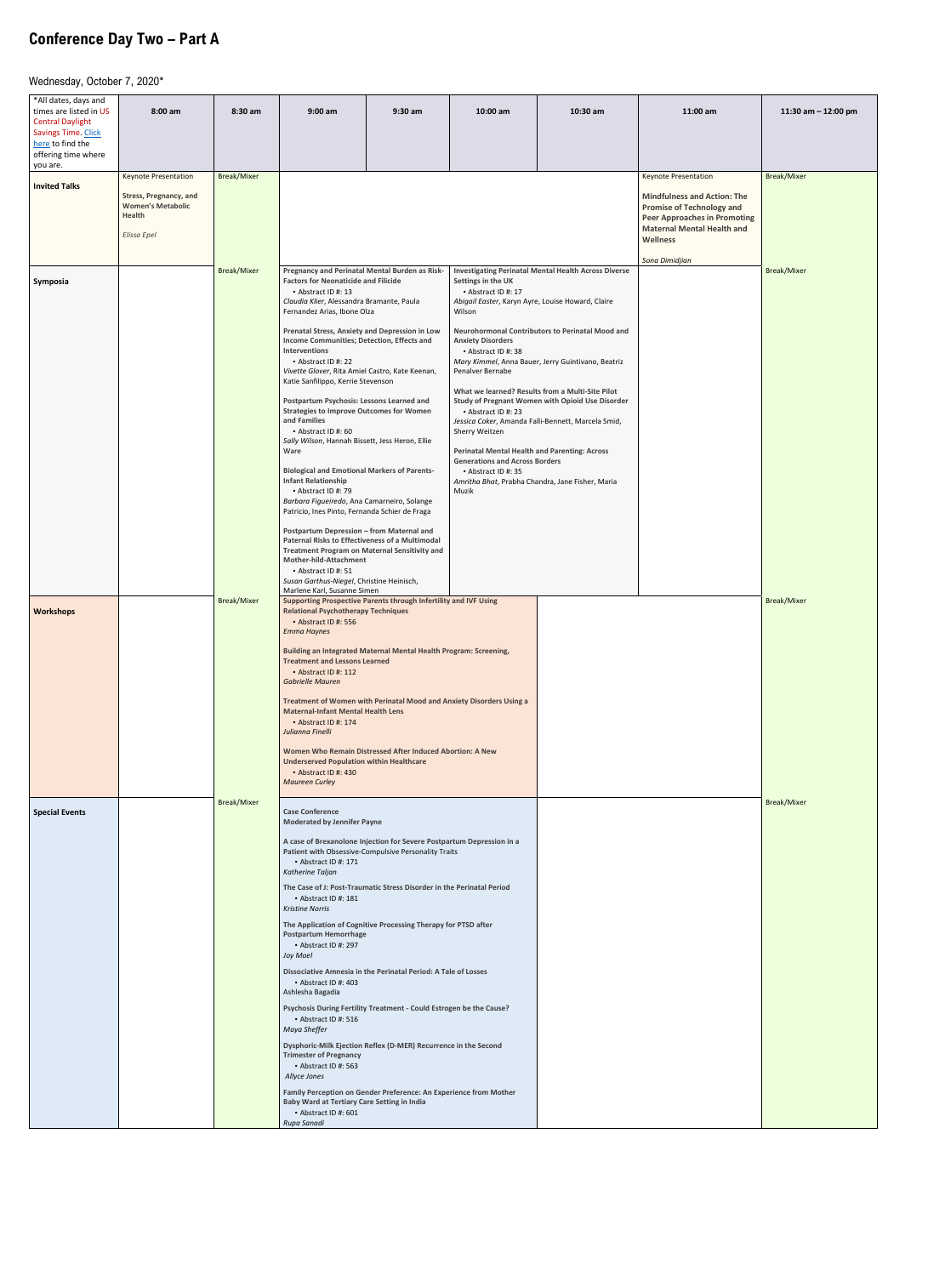# **Conference Day Two – Part A**

Wednesday, October 7, 2020\*

| *All dates, days and<br>times are listed in US<br><b>Central Daylight</b> | $8:00$ am                                                                                 | 8:30 am            | $9:00$ am                                                                                                                                                                                                                                                                         | $9:30$ am                                                                                                                                                                                                                                                                                                                                                                                                                         | 10:00 am                                                                                                                               | 10:30 am                                                                                                      | 11:00 am                                                                                                                                                              | 11:30 am $-$ 12:00 pm |
|---------------------------------------------------------------------------|-------------------------------------------------------------------------------------------|--------------------|-----------------------------------------------------------------------------------------------------------------------------------------------------------------------------------------------------------------------------------------------------------------------------------|-----------------------------------------------------------------------------------------------------------------------------------------------------------------------------------------------------------------------------------------------------------------------------------------------------------------------------------------------------------------------------------------------------------------------------------|----------------------------------------------------------------------------------------------------------------------------------------|---------------------------------------------------------------------------------------------------------------|-----------------------------------------------------------------------------------------------------------------------------------------------------------------------|-----------------------|
| Savings Time. Click<br>here to find the<br>offering time where            |                                                                                           |                    |                                                                                                                                                                                                                                                                                   |                                                                                                                                                                                                                                                                                                                                                                                                                                   |                                                                                                                                        |                                                                                                               |                                                                                                                                                                       |                       |
| you are.                                                                  | <b>Keynote Presentation</b>                                                               | <b>Break/Mixer</b> |                                                                                                                                                                                                                                                                                   |                                                                                                                                                                                                                                                                                                                                                                                                                                   |                                                                                                                                        |                                                                                                               | <b>Keynote Presentation</b>                                                                                                                                           | <b>Break/Mixer</b>    |
| <b>Invited Talks</b>                                                      | <b>Stress, Pregnancy, and</b><br><b>Women's Metabolic</b><br><b>Health</b><br>Elissa Epel |                    |                                                                                                                                                                                                                                                                                   |                                                                                                                                                                                                                                                                                                                                                                                                                                   |                                                                                                                                        |                                                                                                               | <b>Mindfulness and Action: The</b><br><b>Promise of Technology and</b><br><b>Peer Approaches in Promoting</b><br><b>Maternal Mental Health and</b><br><b>Wellness</b> |                       |
| Symposia                                                                  |                                                                                           | <b>Break/Mixer</b> | • Abstract ID #: 13                                                                                                                                                                                                                                                               | Pregnancy and Perinatal Mental Burden as Risk-<br><b>Investigating Perinatal Mental Health Across Diverse</b><br><b>Factors for Neonaticide and Filicide</b><br>Settings in the UK<br>• Abstract ID #: 17<br>Claudia Klier, Alessandra Bramante, Paula<br>Abigail Easter, Karyn Ayre, Louise Howard, Claire<br>Fernandez Arias, Ibone Olza<br>Wilson                                                                              |                                                                                                                                        |                                                                                                               |                                                                                                                                                                       | <b>Break/Mixer</b>    |
|                                                                           |                                                                                           |                    | <b>Interventions</b><br>• Abstract ID #: 22                                                                                                                                                                                                                                       | <b>Prenatal Stress, Anxiety and Depression in Low</b><br>Neurohormonal Contributors to Perinatal Mood and<br>Income Communities; Detection, Effects and<br><b>Anxiety Disorders</b><br>• Abstract ID #: 38<br>Mary Kimmel, Anna Bauer, Jerry Guintivano, Beatriz<br>Penalver Bernabe<br>Vivette Glover, Rita Amiel Castro, Kate Keenan,<br>Katie Sanfilippo, Kerrie Stevenson<br>What we learned? Results from a Multi-Site Pilot |                                                                                                                                        |                                                                                                               |                                                                                                                                                                       |                       |
|                                                                           |                                                                                           |                    | <b>Postpartum Psychosis: Lessons Learned and</b><br><b>Strategies to Improve Outcomes for Women</b><br>and Families<br>• Abstract ID #: 60<br>Sally Wilson, Hannah Bissett, Jess Heron, Ellie<br>Ware                                                                             |                                                                                                                                                                                                                                                                                                                                                                                                                                   | • Abstract ID #: 23<br>Sherry Weitzen<br><b>Perinatal Mental Health and Parenting: Across</b><br><b>Generations and Across Borders</b> | <b>Study of Pregnant Women with Opioid Use Disorder</b><br>Jessica Coker, Amanda Falli-Bennett, Marcela Smid, |                                                                                                                                                                       |                       |
|                                                                           |                                                                                           |                    | <b>Biological and Emotional Markers of Parents-</b><br><b>Infant Relationship</b><br>• Abstract ID #: 79<br>Barbara Figueiredo, Ana Camarneiro, Solange<br>Patricio, Ines Pinto, Fernanda Schier de Fraga                                                                         |                                                                                                                                                                                                                                                                                                                                                                                                                                   | • Abstract ID #: 35<br>Muzik                                                                                                           | Amritha Bhat, Prabha Chandra, Jane Fisher, Maria                                                              |                                                                                                                                                                       |                       |
|                                                                           |                                                                                           |                    | Postpartum Depression - from Maternal and<br>Paternal Risks to Effectiveness of a Multimodal<br><b>Treatment Program on Maternal Sensitivity and</b><br>Mother-hild-Attachment<br>• Abstract ID #: 51<br>Susan Garthus-Niegel, Christine Heinisch,<br>Marlene Karl, Susanne Simen |                                                                                                                                                                                                                                                                                                                                                                                                                                   |                                                                                                                                        |                                                                                                               |                                                                                                                                                                       |                       |
| <b>Workshops</b>                                                          |                                                                                           | <b>Break/Mixer</b> | Supporting Prospective Parents through Infertility and IVF Using<br><b>Relational Psychotherapy Techniques</b><br>• Abstract ID #: 556<br><b>Emma Haynes</b>                                                                                                                      |                                                                                                                                                                                                                                                                                                                                                                                                                                   |                                                                                                                                        |                                                                                                               |                                                                                                                                                                       | <b>Break/Mixer</b>    |
|                                                                           |                                                                                           |                    | Building an Integrated Maternal Mental Health Program: Screening,<br><b>Treatment and Lessons Learned</b><br>• Abstract ID #: 112<br><b>Gabrielle Mauren</b><br>Treatment of Women with Perinatal Mood and Anxiety Disorders Using a                                              |                                                                                                                                                                                                                                                                                                                                                                                                                                   |                                                                                                                                        |                                                                                                               |                                                                                                                                                                       |                       |
|                                                                           |                                                                                           |                    | <b>Maternal-Infant Mental Health Lens</b><br>• Abstract ID #: 174<br>Julianna Finelli<br>Women Who Remain Distressed After Induced Abortion: A New                                                                                                                                |                                                                                                                                                                                                                                                                                                                                                                                                                                   |                                                                                                                                        |                                                                                                               |                                                                                                                                                                       |                       |
|                                                                           |                                                                                           | <b>Break/Mixer</b> | <b>Underserved Population within Healthcare</b><br>• Abstract ID #: 430<br><b>Maureen Curley</b>                                                                                                                                                                                  |                                                                                                                                                                                                                                                                                                                                                                                                                                   |                                                                                                                                        |                                                                                                               |                                                                                                                                                                       | <b>Break/Mixer</b>    |
| <b>Special Events</b>                                                     |                                                                                           |                    | <b>Case Conference</b><br><b>Moderated by Jennifer Payne</b><br>A case of Brexanolone Injection for Severe Postpartum Depression in a                                                                                                                                             |                                                                                                                                                                                                                                                                                                                                                                                                                                   |                                                                                                                                        |                                                                                                               |                                                                                                                                                                       |                       |
|                                                                           |                                                                                           |                    | Patient with Obsessive-Compulsive Personality Traits<br>• Abstract ID #: 171<br>Katherine Taljan                                                                                                                                                                                  |                                                                                                                                                                                                                                                                                                                                                                                                                                   |                                                                                                                                        |                                                                                                               |                                                                                                                                                                       |                       |
|                                                                           |                                                                                           |                    | The Case of J: Post-Traumatic Stress Disorder in the Perinatal Period<br>• Abstract ID #: 181<br><b>Kristine Norris</b>                                                                                                                                                           |                                                                                                                                                                                                                                                                                                                                                                                                                                   |                                                                                                                                        |                                                                                                               |                                                                                                                                                                       |                       |
|                                                                           |                                                                                           |                    | The Application of Cognitive Processing Therapy for PTSD after<br><b>Postpartum Hemorrhage</b><br>• Abstract ID #: 297<br>Joy Moel                                                                                                                                                |                                                                                                                                                                                                                                                                                                                                                                                                                                   |                                                                                                                                        |                                                                                                               |                                                                                                                                                                       |                       |
|                                                                           |                                                                                           |                    | <b>Dissociative Amnesia in the Perinatal Period: A Tale of Losses</b><br>• Abstract ID #: 403<br>Ashlesha Bagadia                                                                                                                                                                 |                                                                                                                                                                                                                                                                                                                                                                                                                                   |                                                                                                                                        |                                                                                                               |                                                                                                                                                                       |                       |
|                                                                           |                                                                                           |                    | Psychosis During Fertility Treatment - Could Estrogen be the Cause?<br>• Abstract ID #: 516<br>Maya Sheffer<br>Dysphoric-Milk Ejection Reflex (D-MER) Recurrence in the Second                                                                                                    |                                                                                                                                                                                                                                                                                                                                                                                                                                   |                                                                                                                                        |                                                                                                               |                                                                                                                                                                       |                       |
|                                                                           |                                                                                           |                    | <b>Trimester of Pregnancy</b><br>• Abstract ID #: 563<br>Allyce Jones                                                                                                                                                                                                             |                                                                                                                                                                                                                                                                                                                                                                                                                                   |                                                                                                                                        |                                                                                                               |                                                                                                                                                                       |                       |
|                                                                           |                                                                                           |                    | Family Perception on Gender Preference: An Experience from Mother<br><b>Baby Ward at Tertiary Care Setting in India</b><br>• Abstract ID #: 601<br>Rupa Sanadi                                                                                                                    |                                                                                                                                                                                                                                                                                                                                                                                                                                   |                                                                                                                                        |                                                                                                               |                                                                                                                                                                       |                       |